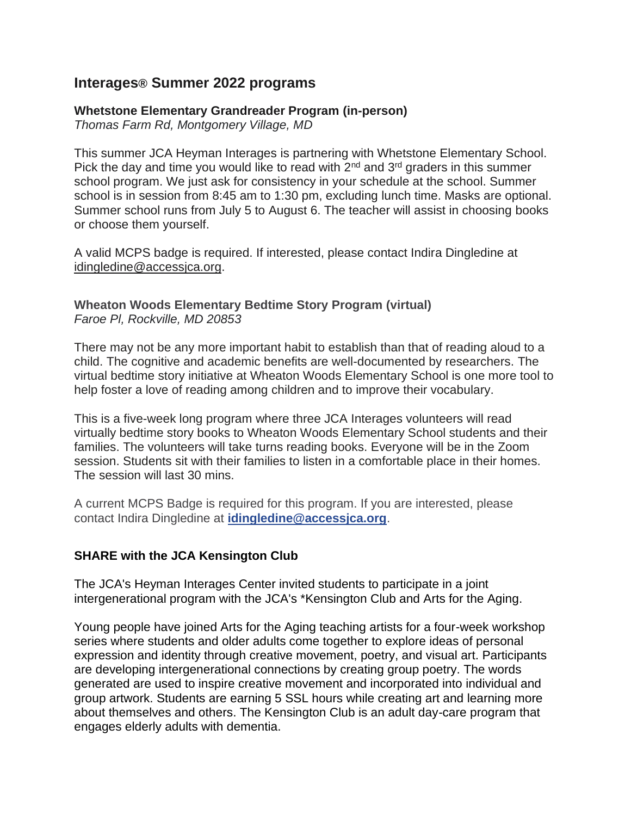# **Interages® Summer 2022 programs**

#### **Whetstone Elementary Grandreader Program (in-person)**

*Thomas Farm Rd, Montgomery Village, MD*

This summer JCA Heyman Interages is partnering with Whetstone Elementary School. Pick the day and time you would like to read with  $2<sup>nd</sup>$  and  $3<sup>rd</sup>$  graders in this summer school program. We just ask for consistency in your schedule at the school. Summer school is in session from 8:45 am to 1:30 pm, excluding lunch time. Masks are optional. Summer school runs from July 5 to August 6. The teacher will assist in choosing books or choose them yourself.

A valid MCPS badge is required. If interested, please contact Indira Dingledine at [idingledine@accessjca.org.](mailto:idingledine@accessjca.org)

#### **Wheaton Woods Elementary Bedtime Story Program (virtual)** *Faroe Pl, Rockville, MD 20853*

There may not be any more important habit to establish than that of reading aloud to a child. The cognitive and academic benefits are well-documented by researchers. The virtual bedtime story initiative at Wheaton Woods Elementary School is one more tool to help foster a love of reading among children and to improve their vocabulary.

This is a five-week long program where three JCA Interages volunteers will read virtually bedtime story books to Wheaton Woods Elementary School students and their families. The volunteers will take turns reading books. Everyone will be in the Zoom session. Students sit with their families to listen in a comfortable place in their homes. The session will last 30 mins.

A current MCPS Badge is required for this program. If you are interested, please contact Indira Dingledine at **[idingledine@accessjca.org](mailto:idingledine@accessjca.org)**.

## **SHARE with the JCA Kensington Club**

The JCA's Heyman Interages Center invited students to participate in a joint intergenerational program with the JCA's \*Kensington Club and Arts for the Aging.

Young people have joined Arts for the Aging teaching artists for a four-week workshop series where students and older adults come together to explore ideas of personal expression and identity through creative movement, poetry, and visual art. Participants are developing intergenerational connections by creating group poetry. The words generated are used to inspire creative movement and incorporated into individual and group artwork. Students are earning 5 SSL hours while creating art and learning more about themselves and others. The Kensington Club is an adult day-care program that engages elderly adults with dementia.